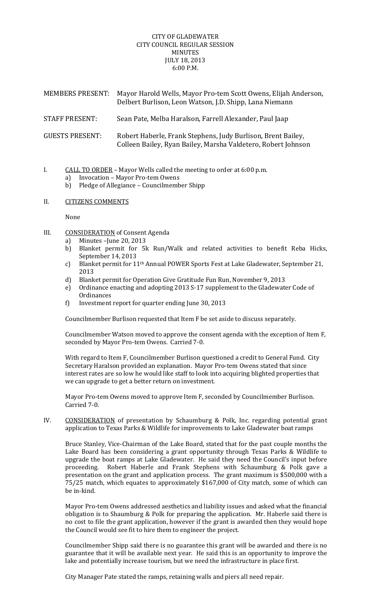## CITY OF GLADEWATER CITY COUNCIL REGULAR SESSION MINUTES JULY 18, 2013 6:00 P.M.

| <b>MEMBERS PRESENT:</b> | Mayor Harold Wells, Mayor Pro-tem Scott Owens, Elijah Anderson,<br>Delbert Burlison, Leon Watson, J.D. Shipp, Lana Niemann    |
|-------------------------|-------------------------------------------------------------------------------------------------------------------------------|
| <b>STAFF PRESENT:</b>   | Sean Pate, Melba Haralson, Farrell Alexander, Paul Jaap                                                                       |
| <b>GUESTS PRESENT:</b>  | Robert Haberle, Frank Stephens, Judy Burlison, Brent Bailey,<br>Colleen Bailey, Ryan Bailey, Marsha Valdetero, Robert Johnson |

- I.  $CALL TO ORDER Mayor Wells called the meeting to order at 6:00 p.m.$ 
	- a) Invocation Mayor Pro-tem Owens
	- b) Pledge of Allegiance Councilmember Shipp
- II. CITIZENS COMMENTS

None 

- III. CONSIDERATION of Consent Agenda
	- a) Minutes  $-J$ une  $20, 2013$
	- b) Blanket permit for 5k Run/Walk and related activities to benefit Reba Hicks, September 14, 2013
	- c) Blanket permit for 11<sup>th</sup> Annual POWER Sports Fest at Lake Gladewater, September 21, 2013
	- d) Blanket permit for Operation Give Gratitude Fun Run, November 9, 2013
	- e) Ordinance enacting and adopting 2013 S-17 supplement to the Gladewater Code of **Ordinances**
	- f) Investment report for quarter ending June 30, 2013

Councilmember Burlison requested that Item F be set aside to discuss separately.

Councilmember Watson moved to approve the consent agenda with the exception of Item F, seconded by Mayor Pro-tem Owens. Carried 7-0.

With regard to Item F, Councilmember Burlison questioned a credit to General Fund. City Secretary Haralson provided an explanation. Mayor Pro-tem Owens stated that since interest rates are so low he would like staff to look into acquiring blighted properties that we can upgrade to get a better return on investment.

Mayor Pro-tem Owens moved to approve Item F, seconded by Councilmember Burlison. Carried 7-0.

IV. CONSIDERATION of presentation by Schaumburg & Polk, Inc. regarding potential grant application to Texas Parks & Wildlife for improvements to Lake Gladewater boat ramps

Bruce Stanley, Vice-Chairman of the Lake Board, stated that for the past couple months the Lake Board has been considering a grant opportunity through Texas Parks & Wildlife to upgrade the boat ramps at Lake Gladewater. He said they need the Council's input before proceeding. Robert Haberle and Frank Stephens with Schaumburg & Polk gave a presentation on the grant and application process. The grant maximum is \$500,000 with a 75/25 match, which equates to approximately \$167,000 of City match, some of which can be in-kind.

Mayor Pro-tem Owens addressed aesthetics and liability issues and asked what the financial obligation is to Shaumburg & Polk for preparing the application. Mr. Haberle said there is no cost to file the grant application, however if the grant is awarded then they would hope the Council would see fit to hire them to engineer the project.

Councilmember Shipp said there is no guarantee this grant will be awarded and there is no guarantee that it will be available next year. He said this is an opportunity to improve the lake and potentially increase tourism, but we need the infrastructure in place first.

City Manager Pate stated the ramps, retaining walls and piers all need repair.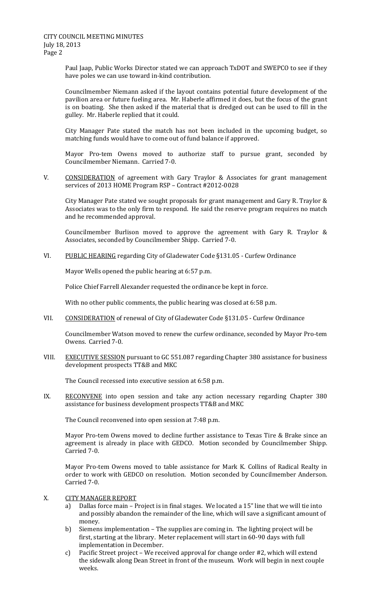Paul Jaap, Public Works Director stated we can approach TxDOT and SWEPCO to see if they have poles we can use toward in-kind contribution.

Councilmember Niemann asked if the layout contains potential future development of the pavilion area or future fueling area. Mr. Haberle affirmed it does, but the focus of the grant is on boating. She then asked if the material that is dredged out can be used to fill in the gulley. Mr. Haberle replied that it could.

City Manager Pate stated the match has not been included in the upcoming budget, so matching funds would have to come out of fund balance if approved.

Mayor Pro-tem Owens moved to authorize staff to pursue grant, seconded by Councilmember Niemann. Carried 7-0.

V. CONSIDERATION of agreement with Gary Traylor & Associates for grant management services of 2013 HOME Program RSP – Contract #2012-0028

City Manager Pate stated we sought proposals for grant management and Gary R. Traylor & Associates was to the only firm to respond. He said the reserve program requires no match and he recommended approval.

Councilmember Burlison moved to approve the agreement with Gary R. Traylor  $\&$ Associates, seconded by Councilmember Shipp. Carried 7-0.

VI. PUBLIC HEARING regarding City of Gladewater Code §131.05 - Curfew Ordinance

Mayor Wells opened the public hearing at 6:57 p.m.

Police Chief Farrell Alexander requested the ordinance be kept in force.

With no other public comments, the public hearing was closed at 6:58 p.m.

VII. CONSIDERATION of renewal of City of Gladewater Code §131.05 - Curfew Ordinance

Councilmember Watson moved to renew the curfew ordinance, seconded by Mayor Pro-tem Owens. Carried 7-0.

VIII. EXECUTIVE SESSION pursuant to GC 551.087 regarding Chapter 380 assistance for business development prospects TT&B and MKC

The Council recessed into executive session at 6:58 p.m.

IX. RECONVENE into open session and take any action necessary regarding Chapter 380 assistance for business development prospects TT&B and MKC

The Council reconvened into open session at 7:48 p.m.

Mayor Pro-tem Owens moved to decline further assistance to Texas Tire & Brake since an agreement is already in place with GEDCO. Motion seconded by Councilmember Shipp. Carried 7-0.

Mayor Pro-tem Owens moved to table assistance for Mark K. Collins of Radical Realty in order to work with GEDCO on resolution. Motion seconded by Councilmember Anderson. Carried 7-0.

X. CITY MANAGER REPORT

- a) Dallas force main Project is in final stages. We located a 15" line that we will tie into and possibly abandon the remainder of the line, which will save a significant amount of money.
- b) Siemens implementation The supplies are coming in. The lighting project will be first, starting at the library. Meter replacement will start in 60-90 days with full implementation in December.
- c) Pacific Street project We received approval for change order #2, which will extend the sidewalk along Dean Street in front of the museum. Work will begin in next couple weeks.